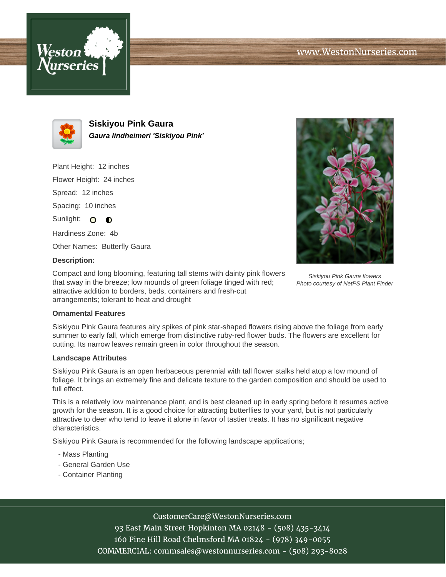



**Siskiyou Pink Gaura Gaura lindheimeri 'Siskiyou Pink'**

Plant Height: 12 inches

Flower Height: 24 inches

Spread: 12 inches

Spacing: 10 inches

Sunlight: O O

Hardiness Zone: 4b

Other Names: Butterfly Gaura

### **Description:**

Compact and long blooming, featuring tall stems with dainty pink flowers that sway in the breeze; low mounds of green foliage tinged with red; attractive addition to borders, beds, containers and fresh-cut arrangements; tolerant to heat and drought

#### **Ornamental Features**

Siskiyou Pink Gaura features airy spikes of pink star-shaped flowers rising above the foliage from early summer to early fall, which emerge from distinctive ruby-red flower buds. The flowers are excellent for cutting. Its narrow leaves remain green in color throughout the season.

#### **Landscape Attributes**

Siskiyou Pink Gaura is an open herbaceous perennial with tall flower stalks held atop a low mound of foliage. It brings an extremely fine and delicate texture to the garden composition and should be used to full effect.

This is a relatively low maintenance plant, and is best cleaned up in early spring before it resumes active growth for the season. It is a good choice for attracting butterflies to your yard, but is not particularly attractive to deer who tend to leave it alone in favor of tastier treats. It has no significant negative characteristics.

Siskiyou Pink Gaura is recommended for the following landscape applications;

- Mass Planting
- General Garden Use
- Container Planting

# CustomerCare@WestonNurseries.com

93 East Main Street Hopkinton MA 02148 - (508) 435-3414 160 Pine Hill Road Chelmsford MA 01824 - (978) 349-0055 COMMERCIAL: commsales@westonnurseries.com - (508) 293-8028



Siskiyou Pink Gaura flowers Photo courtesy of NetPS Plant Finder